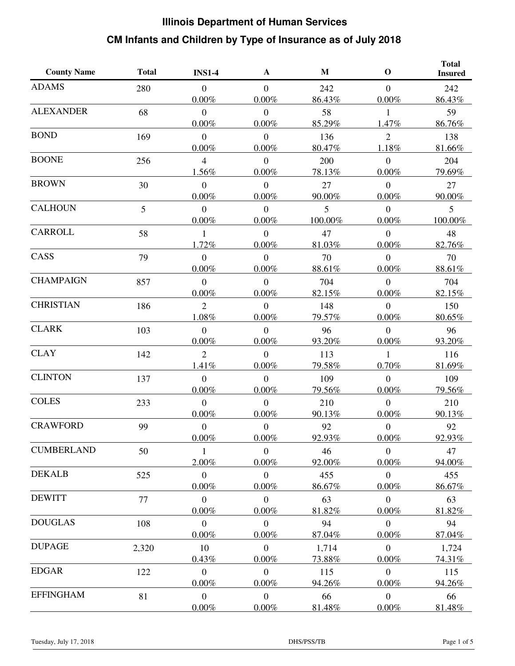| <b>County Name</b> | <b>Total</b> | <b>INS1-4</b>    | $\mathbf A$    | $\mathbf M$ | $\mathbf 0$    | <b>Total</b><br><b>Insured</b> |
|--------------------|--------------|------------------|----------------|-------------|----------------|--------------------------------|
| <b>ADAMS</b>       | 280          | $\theta$         | $\overline{0}$ | 242         | $\mathbf{0}$   | 242                            |
|                    |              | $0.00\%$         | $0.00\%$       | 86.43%      | 0.00%          | 86.43%                         |
| <b>ALEXANDER</b>   | 68           | $\boldsymbol{0}$ | $\overline{0}$ | 58          | 1              | 59                             |
|                    |              | $0.00\%$         | $0.00\%$       | 85.29%      | 1.47%          | 86.76%                         |
| <b>BOND</b>        | 169          | $\boldsymbol{0}$ | $\overline{0}$ | 136         | $\overline{2}$ | 138                            |
|                    |              | $0.00\%$         | $0.00\%$       | 80.47%      | 1.18%          | 81.66%                         |
| <b>BOONE</b>       | 256          | $\overline{4}$   | $\overline{0}$ | 200         | $\overline{0}$ | 204                            |
|                    |              | 1.56%            | $0.00\%$       | 78.13%      | $0.00\%$       | 79.69%                         |
| <b>BROWN</b>       | 30           | $\overline{0}$   | $\overline{0}$ | 27          | $\mathbf{0}$   | 27                             |
|                    |              | $0.00\%$         | 0.00%          | 90.00%      | 0.00%          | 90.00%                         |
| <b>CALHOUN</b>     | 5            | $\overline{0}$   | $\theta$       | 5           | $\overline{0}$ | $\mathfrak{S}$                 |
|                    |              | $0.00\%$         | $0.00\%$       | 100.00%     | 0.00%          | 100.00%                        |
| <b>CARROLL</b>     | 58           | 1                | $\overline{0}$ | 47          | $\mathbf{0}$   | 48                             |
|                    |              | 1.72%            | $0.00\%$       | 81.03%      | 0.00%          | 82.76%                         |
| CASS               | 79           | $\boldsymbol{0}$ | $\overline{0}$ | 70          | $\overline{0}$ | 70                             |
|                    |              | $0.00\%$         | 0.00%          | 88.61%      | $0.00\%$       | 88.61%                         |
| <b>CHAMPAIGN</b>   | 857          | $\overline{0}$   | $\overline{0}$ | 704         | $\overline{0}$ | 704                            |
|                    |              | $0.00\%$         | $0.00\%$       | 82.15%      | $0.00\%$       | 82.15%                         |
| <b>CHRISTIAN</b>   | 186          | $\overline{2}$   | $\theta$       | 148         | $\overline{0}$ | 150                            |
|                    |              | 1.08%            | $0.00\%$       | 79.57%      | 0.00%          | 80.65%                         |
| <b>CLARK</b>       | 103          | $\overline{0}$   | $\theta$       | 96          | $\overline{0}$ | 96                             |
|                    |              | $0.00\%$         | $0.00\%$       | 93.20%      | $0.00\%$       | 93.20%                         |
| <b>CLAY</b>        | 142          | $\overline{2}$   | $\Omega$       | 113         | $\mathbf{1}$   | 116                            |
|                    |              | 1.41%            | 0.00%          | 79.58%      | 0.70%          | 81.69%                         |
| <b>CLINTON</b>     | 137          | $\boldsymbol{0}$ | $\overline{0}$ | 109         | $\overline{0}$ | 109                            |
|                    |              | $0.00\%$         | 0.00%          | 79.56%      | 0.00%          | 79.56%                         |
| <b>COLES</b>       | 233          | $\boldsymbol{0}$ | $\overline{0}$ | 210         | $\mathbf{0}$   | 210                            |
|                    |              | $0.00\%$         | $0.00\%$       | 90.13%      | 0.00%          | 90.13%                         |
| <b>CRAWFORD</b>    | 99           | $\boldsymbol{0}$ | $\mathbf{0}$   | 92          | $\overline{0}$ | 92                             |
|                    |              | 0.00%            | $0.00\%$       | 92.93%      | $0.00\%$       | 92.93%                         |
| <b>CUMBERLAND</b>  | 50           | 1                | $\overline{0}$ | 46          | $\overline{0}$ | 47                             |
|                    |              | 2.00%            | 0.00%          | 92.00%      | 0.00%          | 94.00%                         |
| <b>DEKALB</b>      | 525          | $\boldsymbol{0}$ | $\overline{0}$ | 455         | $\mathbf{0}$   | 455                            |
|                    |              | $0.00\%$         | $0.00\%$       | 86.67%      | $0.00\%$       | 86.67%                         |
| <b>DEWITT</b>      | 77           | $\boldsymbol{0}$ | $\overline{0}$ | 63          | $\mathbf{0}$   | 63                             |
|                    |              | 0.00%            | $0.00\%$       | 81.82%      | 0.00%          | 81.82%                         |
| <b>DOUGLAS</b>     | 108          | $\overline{0}$   | $\overline{0}$ | 94          | $\mathbf{0}$   | 94                             |
|                    |              | $0.00\%$         | $0.00\%$       | 87.04%      | $0.00\%$       | 87.04%                         |
| <b>DUPAGE</b>      | 2,320        | 10               | $\overline{0}$ | 1,714       | $\mathbf{0}$   | 1,724                          |
|                    |              | 0.43%            | 0.00%          | 73.88%      | 0.00%          | 74.31%                         |
| <b>EDGAR</b>       | 122          | $\boldsymbol{0}$ | $\mathbf{0}$   | 115         | $\mathbf{0}$   | 115                            |
|                    |              | $0.00\%$         | 0.00%          | 94.26%      | 0.00%          | 94.26%                         |
| <b>EFFINGHAM</b>   | 81           | $\boldsymbol{0}$ | $\overline{0}$ | 66          | $\mathbf{0}$   | 66                             |
|                    |              | $0.00\%$         | $0.00\%$       | 81.48%      | $0.00\%$       | 81.48%                         |
|                    |              |                  |                |             |                |                                |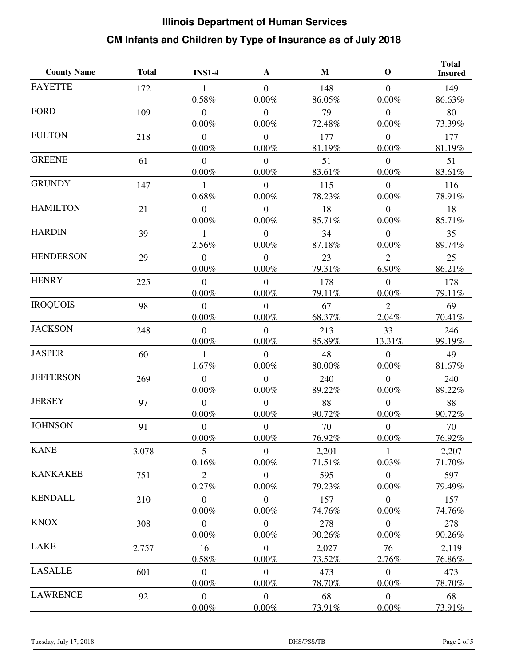| <b>County Name</b> | <b>Total</b> | <b>INS1-4</b>    | A              | M      | $\mathbf 0$      | <b>Total</b><br><b>Insured</b> |
|--------------------|--------------|------------------|----------------|--------|------------------|--------------------------------|
| <b>FAYETTE</b>     | 172          | $\mathbf{1}$     | $\overline{0}$ | 148    | $\overline{0}$   | 149                            |
|                    |              | 0.58%            | $0.00\%$       | 86.05% | 0.00%            | 86.63%                         |
| <b>FORD</b>        | 109          | $\overline{0}$   | $\overline{0}$ | 79     | $\mathbf{0}$     | 80                             |
|                    |              | $0.00\%$         | $0.00\%$       | 72.48% | 0.00%            | 73.39%                         |
| <b>FULTON</b>      | 218          | $\overline{0}$   | $\overline{0}$ | 177    | $\mathbf{0}$     | 177                            |
|                    |              | $0.00\%$         | $0.00\%$       | 81.19% | 0.00%            | 81.19%                         |
| <b>GREENE</b>      | 61           | $\overline{0}$   | $\overline{0}$ | 51     | $\boldsymbol{0}$ | 51                             |
|                    |              | $0.00\%$         | $0.00\%$       | 83.61% | $0.00\%$         | 83.61%                         |
| <b>GRUNDY</b>      | 147          | 1                | $\overline{0}$ | 115    | $\overline{0}$   | 116                            |
|                    |              | 0.68%            | $0.00\%$       | 78.23% | $0.00\%$         | 78.91%                         |
| <b>HAMILTON</b>    | 21           | $\overline{0}$   | $\Omega$       | 18     | $\overline{0}$   | 18                             |
|                    |              | $0.00\%$         | $0.00\%$       | 85.71% | 0.00%            | 85.71%                         |
| <b>HARDIN</b>      | 39           | 1                | $\overline{0}$ | 34     | $\mathbf{0}$     | 35                             |
|                    |              | 2.56%            | $0.00\%$       | 87.18% | 0.00%            | 89.74%                         |
| <b>HENDERSON</b>   | 29           | $\overline{0}$   | $\overline{0}$ | 23     | $\overline{2}$   | 25                             |
|                    |              | $0.00\%$         | $0.00\%$       | 79.31% | 6.90%            | 86.21%                         |
| <b>HENRY</b>       | 225          | $\overline{0}$   | $\overline{0}$ | 178    | $\overline{0}$   | 178                            |
|                    |              | $0.00\%$         | $0.00\%$       | 79.11% | $0.00\%$         | 79.11%                         |
| <b>IROQUOIS</b>    | 98           | $\overline{0}$   | $\overline{0}$ | 67     | $\overline{2}$   | 69                             |
|                    |              | $0.00\%$         | $0.00\%$       | 68.37% | 2.04%            | 70.41%                         |
| <b>JACKSON</b>     | 248          | $\overline{0}$   | $\overline{0}$ | 213    | 33               | 246                            |
|                    |              | $0.00\%$         | $0.00\%$       | 85.89% | 13.31%           | 99.19%                         |
| <b>JASPER</b>      | 60           | 1                | $\overline{0}$ | 48     | $\overline{0}$   | 49                             |
|                    |              | 1.67%            | $0.00\%$       | 80.00% | 0.00%            | 81.67%                         |
| <b>JEFFERSON</b>   | 269          | $\overline{0}$   | $\overline{0}$ | 240    | $\overline{0}$   | 240                            |
|                    |              | $0.00\%$         | $0.00\%$       | 89.22% | 0.00%            | 89.22%                         |
| <b>JERSEY</b>      | 97           | $\overline{0}$   | $\overline{0}$ | 88     | $\boldsymbol{0}$ | 88                             |
|                    |              | $0.00\%$         | $0.00\%$       | 90.72% | $0.00\%$         | 90.72%                         |
| <b>JOHNSON</b>     | 91           | $\boldsymbol{0}$ | $\overline{0}$ | 70     | $\mathbf{0}$     | 70                             |
|                    |              | $0.00\%$         | $0.00\%$       | 76.92% | $0.00\%$         | 76.92%                         |
| <b>KANE</b>        | 3,078        | $5\overline{)}$  | $\overline{0}$ | 2,201  | 1                | 2,207                          |
|                    |              | 0.16%            | $0.00\%$       | 71.51% | 0.03%            | 71.70%                         |
| <b>KANKAKEE</b>    | 751          | 2                | $\overline{0}$ | 595    | $\mathbf{0}$     | 597                            |
|                    |              | 0.27%            | 0.00%          | 79.23% | $0.00\%$         | 79.49%                         |
| <b>KENDALL</b>     | 210          | $\overline{0}$   | $\overline{0}$ | 157    | $\overline{0}$   | 157                            |
|                    |              | $0.00\%$         | 0.00%          | 74.76% | 0.00%            | 74.76%                         |
| <b>KNOX</b>        | 308          | $\mathbf{0}$     | $\overline{0}$ | 278    | $\mathbf{0}$     | 278                            |
|                    |              | $0.00\%$         | $0.00\%$       | 90.26% | $0.00\%$         | 90.26%                         |
| LAKE               | 2,757        | 16               | $\overline{0}$ | 2,027  | 76               | 2,119                          |
|                    |              | 0.58%            | $0.00\%$       | 73.52% | 2.76%            | 76.86%                         |
| <b>LASALLE</b>     | 601          | $\mathbf{0}$     | $\overline{0}$ | 473    | $\mathbf{0}$     | 473                            |
|                    |              | 0.00%            | $0.00\%$       | 78.70% | $0.00\%$         | 78.70%                         |
| <b>LAWRENCE</b>    | 92           | $\overline{0}$   | $\overline{0}$ | 68     | $\boldsymbol{0}$ | 68                             |
|                    |              | $0.00\%$         | $0.00\%$       | 73.91% | $0.00\%$         | 73.91%                         |
|                    |              |                  |                |        |                  |                                |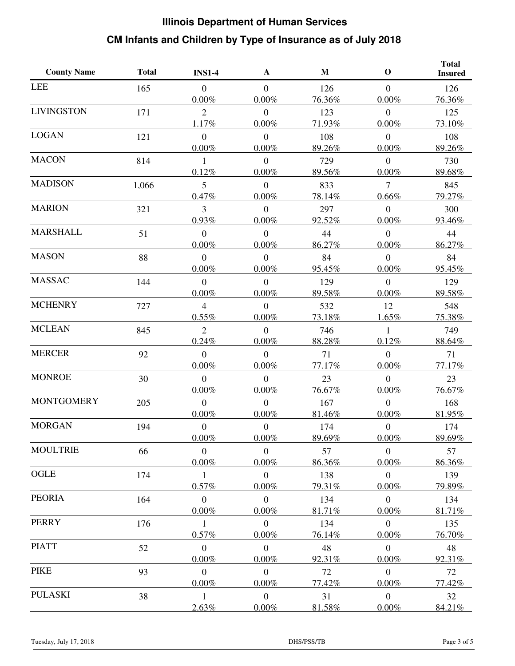| <b>County Name</b> | <b>Total</b> | <b>INS1-4</b>    | A              | M      | $\mathbf 0$      | <b>Total</b><br><b>Insured</b> |
|--------------------|--------------|------------------|----------------|--------|------------------|--------------------------------|
| <b>LEE</b>         | 165          | $\overline{0}$   | $\overline{0}$ | 126    | $\overline{0}$   | 126                            |
|                    |              | $0.00\%$         | $0.00\%$       | 76.36% | 0.00%            | 76.36%                         |
| <b>LIVINGSTON</b>  | 171          | $\overline{2}$   | $\overline{0}$ | 123    | $\mathbf{0}$     | 125                            |
|                    |              | 1.17%            | $0.00\%$       | 71.93% | 0.00%            | 73.10%                         |
| <b>LOGAN</b>       | 121          | $\overline{0}$   | $\overline{0}$ | 108    | $\mathbf{0}$     | 108                            |
|                    |              | $0.00\%$         | $0.00\%$       | 89.26% | 0.00%            | 89.26%                         |
| <b>MACON</b>       | 814          | 1                | $\overline{0}$ | 729    | $\boldsymbol{0}$ | 730                            |
|                    |              | 0.12%            | $0.00\%$       | 89.56% | $0.00\%$         | 89.68%                         |
| <b>MADISON</b>     | 1,066        | 5                | $\overline{0}$ | 833    | $\overline{7}$   | 845                            |
|                    |              | 0.47%            | $0.00\%$       | 78.14% | $0.66\%$         | 79.27%                         |
| <b>MARION</b>      | 321          | 3                | $\Omega$       | 297    | $\overline{0}$   | 300                            |
|                    |              | 0.93%            | $0.00\%$       | 92.52% | 0.00%            | 93.46%                         |
| <b>MARSHALL</b>    | 51           | $\overline{0}$   | $\overline{0}$ | 44     | $\mathbf{0}$     | 44                             |
|                    |              | $0.00\%$         | $0.00\%$       | 86.27% | 0.00%            | 86.27%                         |
| <b>MASON</b>       | 88           | $\overline{0}$   | $\overline{0}$ | 84     | $\mathbf{0}$     | 84                             |
|                    |              | 0.00%            | $0.00\%$       | 95.45% | $0.00\%$         | 95.45%                         |
| <b>MASSAC</b>      | 144          | $\overline{0}$   | $\overline{0}$ | 129    | $\overline{0}$   | 129                            |
|                    |              | $0.00\%$         | $0.00\%$       | 89.58% | 0.00%            | 89.58%                         |
| <b>MCHENRY</b>     | 727          | $\overline{4}$   | $\overline{0}$ | 532    | 12               | 548                            |
|                    |              | 0.55%            | $0.00\%$       | 73.18% | 1.65%            | 75.38%                         |
| <b>MCLEAN</b>      | 845          | $\overline{2}$   | $\theta$       | 746    | 1                | 749                            |
|                    |              | 0.24%            | $0.00\%$       | 88.28% | 0.12%            | 88.64%                         |
| <b>MERCER</b>      | 92           | $\overline{0}$   | $\overline{0}$ | 71     | $\overline{0}$   | 71                             |
|                    |              | 0.00%            | $0.00\%$       | 77.17% | 0.00%            | 77.17%                         |
| <b>MONROE</b>      | 30           | $\overline{0}$   | $\overline{0}$ | 23     | $\overline{0}$   | 23                             |
|                    |              | $0.00\%$         | $0.00\%$       | 76.67% | $0.00\%$         | 76.67%                         |
| <b>MONTGOMERY</b>  | 205          | $\overline{0}$   | $\overline{0}$ | 167    | $\overline{0}$   | 168                            |
|                    |              | $0.00\%$         | $0.00\%$       | 81.46% | $0.00\%$         | 81.95%                         |
| <b>MORGAN</b>      | 194          | $\boldsymbol{0}$ | $\overline{0}$ | 174    | $\mathbf{0}$     | 174                            |
|                    |              | $0.00\%$         | $0.00\%$       | 89.69% | $0.00\%$         | 89.69%                         |
| <b>MOULTRIE</b>    | 66           | $\mathbf{0}$     | $\overline{0}$ | 57     | $\mathbf{0}$     | 57                             |
|                    |              | $0.00\%$         | $0.00\%$       | 86.36% | 0.00%            | 86.36%                         |
| OGLE               | 174          | $\mathbf{1}$     | $\overline{0}$ | 138    | $\mathbf{0}$     | 139                            |
|                    |              | 0.57%            | 0.00%          | 79.31% | 0.00%            | 79.89%                         |
| <b>PEORIA</b>      | 164          | $\overline{0}$   | $\overline{0}$ | 134    | $\mathbf{0}$     | 134                            |
|                    |              | $0.00\%$         | $0.00\%$       | 81.71% | 0.00%            | 81.71%                         |
| <b>PERRY</b>       | 176          | $\mathbf{1}$     | $\overline{0}$ | 134    | $\overline{0}$   | 135                            |
|                    |              | 0.57%            | $0.00\%$       | 76.14% | $0.00\%$         | 76.70%                         |
| <b>PIATT</b>       | 52           | $\overline{0}$   | $\overline{0}$ | 48     | $\mathbf{0}$     | 48                             |
|                    |              | $0.00\%$         | $0.00\%$       | 92.31% | 0.00%            | 92.31%                         |
| <b>PIKE</b>        | 93           | $\mathbf{0}$     | $\overline{0}$ | 72     | $\mathbf{0}$     | 72                             |
|                    |              | 0.00%            | $0.00\%$       | 77.42% | $0.00\%$         | 77.42%                         |
| <b>PULASKI</b>     | 38           | $\mathbf{1}$     | $\overline{0}$ | 31     | $\overline{0}$   | 32                             |
|                    |              | 2.63%            | $0.00\%$       | 81.58% | $0.00\%$         | 84.21%                         |
|                    |              |                  |                |        |                  |                                |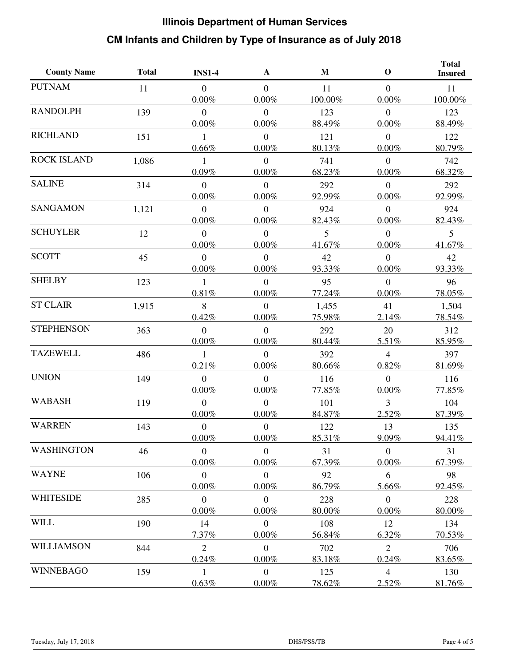| <b>County Name</b> | <b>Total</b> | <b>INS1-4</b>              | A                          | $\mathbf{M}$    | $\mathbf 0$                  | <b>Total</b><br><b>Insured</b> |
|--------------------|--------------|----------------------------|----------------------------|-----------------|------------------------------|--------------------------------|
| <b>PUTNAM</b>      | 11           | $\overline{0}$<br>$0.00\%$ | $\Omega$<br>$0.00\%$       | 11<br>100.00%   | $\overline{0}$<br>$0.00\%$   | 11<br>100.00%                  |
| <b>RANDOLPH</b>    | 139          | $\overline{0}$<br>$0.00\%$ | $\overline{0}$<br>$0.00\%$ | 123<br>88.49%   | $\overline{0}$<br>0.00%      | 123<br>88.49%                  |
| <b>RICHLAND</b>    | 151          | 1<br>0.66%                 | $\overline{0}$<br>0.00%    | 121<br>80.13%   | $\mathbf{0}$<br>0.00%        | 122<br>80.79%                  |
| <b>ROCK ISLAND</b> | 1,086        | 1<br>0.09%                 | $\overline{0}$<br>0.00%    | 741<br>68.23%   | $\overline{0}$<br>0.00%      | 742<br>68.32%                  |
| <b>SALINE</b>      | 314          | $\overline{0}$<br>$0.00\%$ | $\overline{0}$<br>0.00%    | 292<br>92.99%   | $\overline{0}$<br>$0.00\%$   | 292<br>92.99%                  |
| <b>SANGAMON</b>    | 1,121        | $\overline{0}$<br>$0.00\%$ | $\overline{0}$<br>$0.00\%$ | 924<br>82.43%   | $\overline{0}$<br>$0.00\%$   | 924<br>82.43%                  |
| <b>SCHUYLER</b>    | 12           | $\overline{0}$<br>$0.00\%$ | $\overline{0}$<br>$0.00\%$ | 5<br>41.67%     | $\overline{0}$<br>$0.00\%$   | 5<br>41.67%                    |
| <b>SCOTT</b>       | 45           | $\overline{0}$<br>$0.00\%$ | $\overline{0}$<br>0.00%    | 42<br>93.33%    | $\overline{0}$<br>$0.00\%$   | 42<br>93.33%                   |
| <b>SHELBY</b>      | 123          | 1<br>0.81%                 | $\overline{0}$<br>$0.00\%$ | 95<br>77.24%    | $\overline{0}$<br>$0.00\%$   | 96<br>78.05%                   |
| <b>ST CLAIR</b>    | 1,915        | 8<br>0.42%                 | $\theta$<br>0.00%          | 1,455<br>75.98% | 41<br>2.14%                  | 1,504<br>78.54%                |
| <b>STEPHENSON</b>  | 363          | $\overline{0}$<br>$0.00\%$ | $\overline{0}$<br>$0.00\%$ | 292<br>80.44%   | 20<br>5.51%                  | 312<br>85.95%                  |
| <b>TAZEWELL</b>    | 486          | 1<br>0.21%                 | $\overline{0}$<br>0.00%    | 392<br>80.66%   | $\overline{4}$<br>0.82%      | 397<br>81.69%                  |
| <b>UNION</b>       | 149          | $\mathbf{0}$<br>$0.00\%$   | $\overline{0}$<br>0.00%    | 116<br>77.85%   | $\mathbf{0}$<br>0.00%        | 116<br>77.85%                  |
| <b>WABASH</b>      | 119          | $\mathbf{0}$<br>$0.00\%$   | $\overline{0}$<br>$0.00\%$ | 101<br>84.87%   | $\overline{3}$<br>2.52%      | 104<br>87.39%                  |
| <b>WARREN</b>      | 143          | $\overline{0}$<br>$0.00\%$ | $\overline{0}$<br>0.00%    | 122<br>85.31%   | 13<br>9.09%                  | 135<br>94.41%                  |
| <b>WASHINGTON</b>  | 46           | $\overline{0}$<br>$0.00\%$ | $\mathbf{0}$<br>$0.00\%$   | 31<br>67.39%    | $\mathbf{0}$<br>$0.00\%$     | 31<br>67.39%                   |
| <b>WAYNE</b>       | 106          | $\mathbf{0}$<br>0.00%      | $\mathbf{0}$<br>$0.00\%$   | 92<br>86.79%    | 6<br>5.66%                   | 98<br>92.45%                   |
| <b>WHITESIDE</b>   | 285          | $\mathbf{0}$<br>$0.00\%$   | $\mathbf{0}$<br>0.00%      | 228<br>80.00%   | $\boldsymbol{0}$<br>$0.00\%$ | 228<br>80.00%                  |
| <b>WILL</b>        | 190          | 14<br>7.37%                | $\mathbf{0}$<br>$0.00\%$   | 108<br>56.84%   | 12<br>6.32%                  | 134<br>70.53%                  |
| WILLIAMSON         | 844          | $\overline{2}$<br>0.24%    | $\overline{0}$<br>0.00%    | 702<br>83.18%   | $\overline{2}$<br>0.24%      | 706<br>83.65%                  |
| <b>WINNEBAGO</b>   | 159          | 1<br>0.63%                 | $\mathbf{0}$<br>$0.00\%$   | 125<br>78.62%   | $\overline{4}$<br>2.52%      | 130<br>81.76%                  |